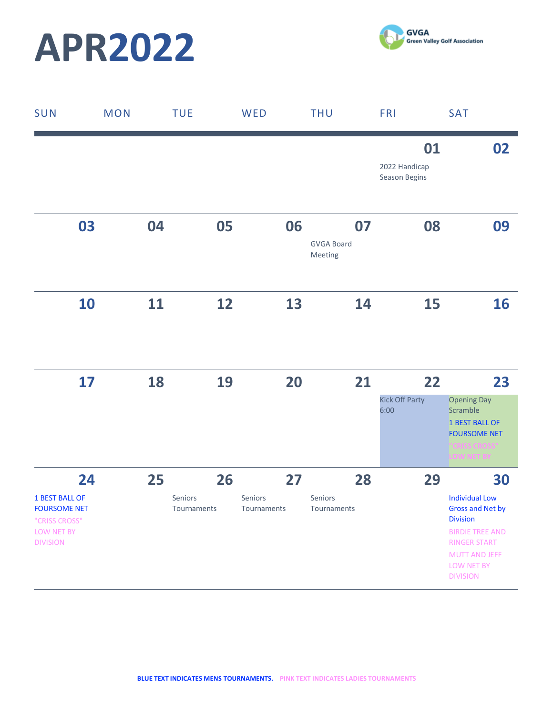



| SUN                                                                                                  | <b>MON</b> |    | <b>TUE</b>                   | WED                    |    | <b>THU</b>                         | <b>FRI</b> |                                      | <b>SAT</b>                                                                                                                                                                   |
|------------------------------------------------------------------------------------------------------|------------|----|------------------------------|------------------------|----|------------------------------------|------------|--------------------------------------|------------------------------------------------------------------------------------------------------------------------------------------------------------------------------|
|                                                                                                      |            |    |                              |                        |    |                                    |            | 01<br>2022 Handicap<br>Season Begins | 02                                                                                                                                                                           |
| 03                                                                                                   |            | 04 | 05                           |                        | 06 | 07<br><b>GVGA Board</b><br>Meeting |            | 08                                   | 09                                                                                                                                                                           |
| 10                                                                                                   |            | 11 | 12                           |                        | 13 | 14                                 |            | <b>15</b>                            | 16                                                                                                                                                                           |
| 17                                                                                                   |            | 18 | 19                           |                        | 20 | 21                                 | 6:00       | 22<br><b>Kick Off Party</b>          | 23<br><b>Opening Day</b><br>Scramble<br><b>1 BEST BALL OF</b><br><b>FOURSOME NET</b><br>"CRISS CROSS"<br>LOW NET BY                                                          |
| 24<br><b>1 BEST BALL OF</b><br><b>FOURSOME NET</b><br>"CRISS CROSS"<br>LOW NET BY<br><b>DIVISION</b> |            | 25 | 26<br>Seniors<br>Tournaments | Seniors<br>Tournaments | 27 | 28<br>Seniors<br>Tournaments       |            | 29                                   | 30<br><b>Individual Low</b><br><b>Gross and Net by</b><br><b>Division</b><br><b>BIRDIE TREE AND</b><br>RINGER START<br><b>MUTT AND JEFF</b><br>LOW NET BY<br><b>DIVISION</b> |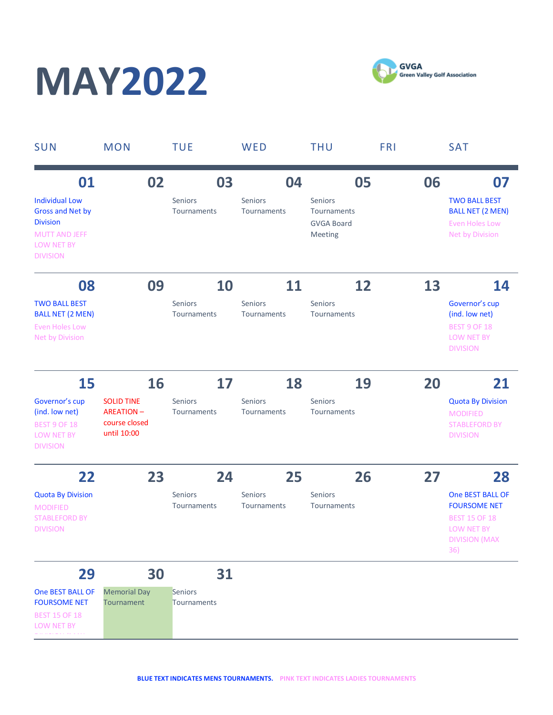## **MAY2022**



| <b>SUN</b>                                                                                                                         | <b>MON</b>                                                            | <b>TUE</b>                          | WED                                 | <b>THU</b>                                                   | <b>FRI</b> | <b>SAT</b>                                                                                                          |
|------------------------------------------------------------------------------------------------------------------------------------|-----------------------------------------------------------------------|-------------------------------------|-------------------------------------|--------------------------------------------------------------|------------|---------------------------------------------------------------------------------------------------------------------|
| 01<br><b>Individual Low</b><br><b>Gross and Net by</b><br><b>Division</b><br><b>MUTT AND JEFF</b><br>LOW NET BY<br><b>DIVISION</b> | 02                                                                    | 03<br><b>Seniors</b><br>Tournaments | 04<br><b>Seniors</b><br>Tournaments | 05<br>Seniors<br>Tournaments<br><b>GVGA Board</b><br>Meeting | 06         | 07<br><b>TWO BALL BEST</b><br><b>BALL NET (2 MEN)</b><br><b>Even Holes Low</b><br>Net by Division                   |
| 08                                                                                                                                 | 09                                                                    | 10                                  | 11                                  | 12                                                           | 13         | 14                                                                                                                  |
| <b>TWO BALL BEST</b><br><b>BALL NET (2 MEN)</b><br><b>Even Holes Low</b><br>Net by Division                                        |                                                                       | Seniors<br>Tournaments              | <b>Seniors</b><br>Tournaments       | <b>Seniors</b><br>Tournaments                                |            | Governor's cup<br>(ind. low net)<br><b>BEST 9 OF 18</b><br>LOW NET BY<br><b>DIVISION</b>                            |
| 15                                                                                                                                 | 16                                                                    | 17                                  | 18                                  | 19                                                           | 20         | 21                                                                                                                  |
| Governor's cup<br>(ind. low net)<br><b>BEST 9 OF 18</b><br>LOW NET BY<br><b>DIVISION</b>                                           | <b>SOLID TINE</b><br><b>AREATION-</b><br>course closed<br>until 10:00 | <b>Seniors</b><br>Tournaments       | <b>Seniors</b><br>Tournaments       | <b>Seniors</b><br>Tournaments                                |            | <b>Quota By Division</b><br><b>MODIFIED</b><br><b>STABLEFORD BY</b><br><b>DIVISION</b>                              |
| 22                                                                                                                                 | 23                                                                    | 24                                  | 25                                  | 26                                                           | 27         | 28                                                                                                                  |
| <b>Quota By Division</b><br><b>MODIFIED</b><br><b>STABLEFORD BY</b><br><b>DIVISION</b>                                             |                                                                       | Seniors<br>Tournaments              | Seniors<br>Tournaments              | Seniors<br>Tournaments                                       |            | One BEST BALL OF<br><b>FOURSOME NET</b><br><b>BEST 15 OF 18</b><br><b>LOW NET BY</b><br><b>DIVISION (MAX</b><br>36) |
| 29                                                                                                                                 | 30                                                                    | 31                                  |                                     |                                                              |            |                                                                                                                     |
| One BEST BALL OF<br><b>FOURSOME NET</b><br><b>BEST 15 OF 18</b>                                                                    | <b>Memorial Day</b><br>Tournament                                     | Seniors<br>Tournaments              |                                     |                                                              |            |                                                                                                                     |

LOW NET BY

DIVISION (MAX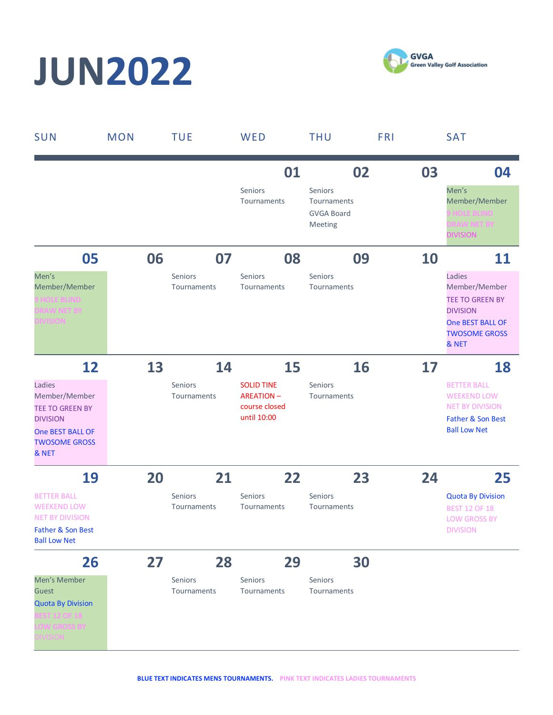# **JUN2022**



| SUN                                                                                                                              | <b>MON</b> |    | <b>TUE</b>                    | WED                                                                   | <b>THU</b>                                             |    | <b>FRI</b> | <b>SAT</b>                                                                                                                |
|----------------------------------------------------------------------------------------------------------------------------------|------------|----|-------------------------------|-----------------------------------------------------------------------|--------------------------------------------------------|----|------------|---------------------------------------------------------------------------------------------------------------------------|
|                                                                                                                                  |            |    |                               | 01                                                                    |                                                        | 02 | 03         | 04                                                                                                                        |
|                                                                                                                                  |            |    |                               | Seniors<br>Tournaments                                                | Seniors<br>Tournaments<br><b>GVGA Board</b><br>Meeting |    |            | Men's<br>Member/Member<br><b>HOLE BLIND</b><br><b>RAW NET BY</b><br><b>DIVISION</b>                                       |
| 05                                                                                                                               |            | 06 | 07                            | 08                                                                    |                                                        | 09 | 10         | 11                                                                                                                        |
| Men's<br>Member/Member<br><b>HOLE BLIND</b><br><b>RAW NET BY</b><br><b>IVISION</b>                                               |            |    | Seniors<br>Tournaments        | Seniors<br>Tournaments                                                | Seniors<br>Tournaments                                 |    |            | Ladies<br>Member/Member<br><b>TEE TO GREEN BY</b><br><b>DIVISION</b><br>One BEST BALL OF<br><b>TWOSOME GROSS</b><br>& NET |
| 12                                                                                                                               |            | 13 | 14                            | 15                                                                    |                                                        | 16 | 17         | 18                                                                                                                        |
| Ladies<br>Member/Member<br><b>TEE TO GREEN BY</b><br><b>DIVISION</b><br><b>One BEST BALL OF</b><br><b>TWOSOME GROSS</b><br>& NET |            |    | Seniors<br>Tournaments        | <b>SOLID TINE</b><br><b>AREATION-</b><br>course closed<br>until 10:00 | Seniors<br>Tournaments                                 |    |            | <b>BETTER BALL</b><br><b>WEEKEND LOW</b><br><b>NET BY DIVISION</b><br>Father & Son Best<br><b>Ball Low Net</b>            |
| 19                                                                                                                               |            | 20 | 21                            | 22                                                                    |                                                        | 23 | 24         | 25                                                                                                                        |
| <b>BETTER BALL</b><br><b>WEEKEND LOW</b><br><b>NET BY DIVISION</b><br>Father & Son Best<br><b>Ball Low Net</b>                   |            |    | <b>Seniors</b><br>Tournaments | Seniors<br>Tournaments                                                | Seniors<br>Tournaments                                 |    |            | <b>Quota By Division</b><br><b>BEST 12 OF 18</b><br><b>LOW GROSS BY</b><br><b>DIVISION</b>                                |
| 26                                                                                                                               |            | 27 | 28                            | 29                                                                    |                                                        | 30 |            |                                                                                                                           |
| Men's Member<br>Guest<br><b>Quota By Division</b><br><b>EST 12 OF 18</b><br><b>OW GROSS BY</b>                                   |            |    | Seniors<br>Tournaments        | Seniors<br>Tournaments                                                | Seniors<br>Tournaments                                 |    |            |                                                                                                                           |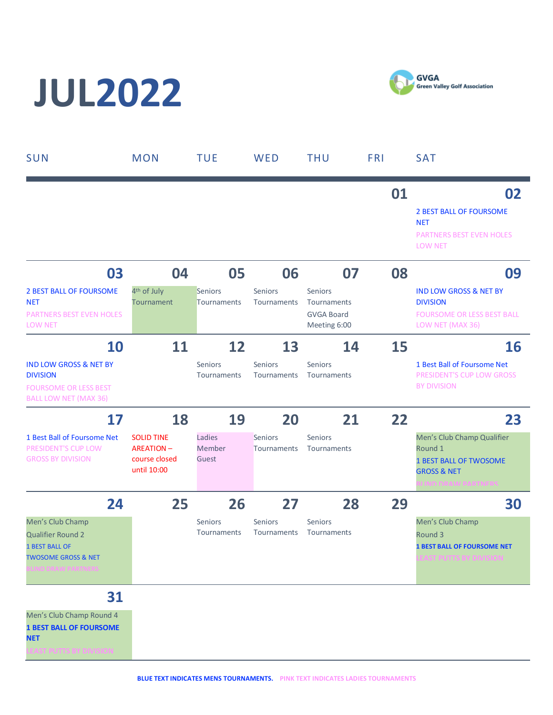# **JUL2022**



| SUN                                                                                                                                        | <b>MON</b>                                                                  | <b>TUE</b>                      | WED                                 | <b>THU</b>                                                        | <b>FRI</b> | <b>SAT</b>                                                                                                                  |
|--------------------------------------------------------------------------------------------------------------------------------------------|-----------------------------------------------------------------------------|---------------------------------|-------------------------------------|-------------------------------------------------------------------|------------|-----------------------------------------------------------------------------------------------------------------------------|
|                                                                                                                                            |                                                                             |                                 |                                     |                                                                   | 01         | 02<br><b>2 BEST BALL OF FOURSOME</b><br><b>NET</b><br>PARTNERS BEST EVEN HOLES<br><b>LOW NET</b>                            |
| 03<br><b>2 BEST BALL OF FOURSOME</b><br><b>NET</b><br><b>PARTNERS BEST EVEN HOLES</b><br><b>LOW NET</b>                                    | 04<br>4 <sup>th</sup> of July<br>Tournament                                 | 05<br>Seniors<br>Tournaments    | 06<br><b>Seniors</b><br>Tournaments | 07<br>Seniors<br>Tournaments<br><b>GVGA Board</b><br>Meeting 6:00 | 08         | 09<br><b>IND LOW GROSS &amp; NET BY</b><br><b>DIVISION</b><br><b>FOURSOME OR LESS BEST BALL</b><br>LOW NET (MAX 36)         |
| <b>10</b><br><b>IND LOW GROSS &amp; NET BY</b><br><b>DIVISION</b><br><b>FOURSOME OR LESS BEST</b><br><b>BALL LOW NET (MAX 36)</b>          | 11                                                                          | 12<br>Seniors<br>Tournaments    | 13<br><b>Seniors</b><br>Tournaments | 14<br>Seniors<br>Tournaments                                      | 15         | <b>16</b><br>1 Best Ball of Foursome Net<br>PRESIDENT'S CUP LOW GROSS<br><b>BY DIVISION</b>                                 |
| 17<br>1 Best Ball of Foursome Net<br>PRESIDENT'S CUP LOW<br><b>GROSS BY DIVISION</b>                                                       | 18<br><b>SOLID TINE</b><br><b>AREATION-</b><br>course closed<br>until 10:00 | 19<br>Ladies<br>Member<br>Guest | 20<br>Seniors<br>Tournaments        | 21<br>Seniors<br>Tournaments                                      | 22         | 23<br>Men's Club Champ Qualifier<br>Round 1<br><b>1 BEST BALL OF TWOSOME</b><br><b>GROSS &amp; NET</b><br><b>AM DARTNER</b> |
| 24<br>Men's Club Champ<br><b>Qualifier Round 2</b><br><b>1 BEST BALL OF</b><br><b>TWOSOME GROSS &amp; NET</b><br><b>LIND DRAW PARTNERS</b> | 25                                                                          | 26<br>Seniors<br>Tournaments    | 27<br>Seniors<br>Tournaments        | 28<br><b>Seniors</b><br>Tournaments                               | 29         | 30<br>Men's Club Champ<br>Round 3<br><b>1 BEST BALL OF FOURSOME NET</b><br><b>EAST PUTTS BY DIVISION</b>                    |
| 31<br>Men's Club Champ Round 4<br><b>1 BEST BALL OF FOURSOME</b><br><b>NET</b>                                                             |                                                                             |                                 |                                     |                                                                   |            |                                                                                                                             |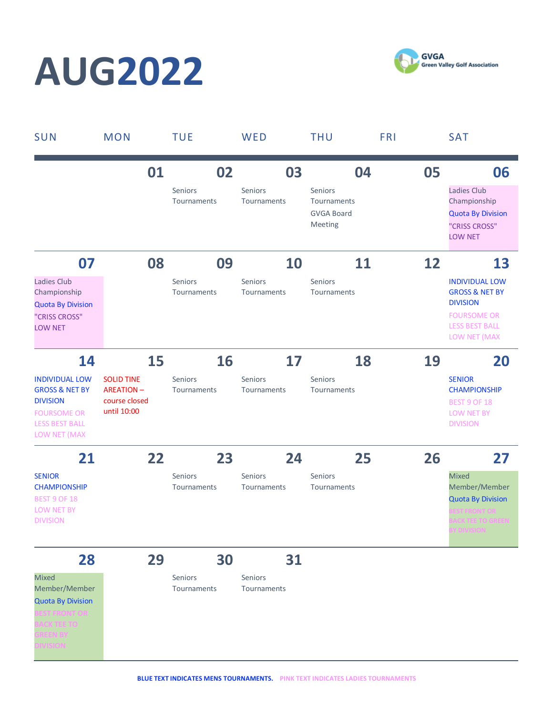## **AUG2022**



| SUN                                                                                                                                        | <b>MON</b>                                                            |    | <b>TUE</b>                          | WED                                 | <b>THU</b>                                                   | <b>FRI</b> | <b>SAT</b>                                                                                                                                 |
|--------------------------------------------------------------------------------------------------------------------------------------------|-----------------------------------------------------------------------|----|-------------------------------------|-------------------------------------|--------------------------------------------------------------|------------|--------------------------------------------------------------------------------------------------------------------------------------------|
|                                                                                                                                            |                                                                       | 01 | 02<br>Seniors<br>Tournaments        | 03<br>Seniors<br>Tournaments        | 04<br>Seniors<br>Tournaments<br><b>GVGA Board</b><br>Meeting | 05         | 06<br>Ladies Club<br>Championship<br><b>Quota By Division</b><br>"CRISS CROSS"<br><b>LOW NET</b>                                           |
| 07<br>Ladies Club<br>Championship<br><b>Quota By Division</b><br>"CRISS CROSS"<br><b>LOW NET</b>                                           |                                                                       | 08 | 09<br>Seniors<br>Tournaments        | 10<br><b>Seniors</b><br>Tournaments | 11<br>Seniors<br>Tournaments                                 | 12         | 13<br><b>INDIVIDUAL LOW</b><br><b>GROSS &amp; NET BY</b><br><b>DIVISION</b><br><b>FOURSOME OR</b><br><b>LESS BEST BALL</b><br>LOW NET (MAX |
| 14<br><b>INDIVIDUAL LOW</b><br><b>GROSS &amp; NET BY</b><br><b>DIVISION</b><br><b>FOURSOME OR</b><br><b>LESS BEST BALL</b><br>LOW NET (MAX | <b>SOLID TINE</b><br><b>AREATION-</b><br>course closed<br>until 10:00 | 15 | 16<br>Seniors<br>Tournaments        | 17<br>Seniors<br>Tournaments        | 18<br>Seniors<br>Tournaments                                 | 19         | 20<br><b>SENIOR</b><br><b>CHAMPIONSHIP</b><br><b>BEST 9 OF 18</b><br>LOW NET BY<br><b>DIVISION</b>                                         |
| 21<br><b>SENIOR</b><br><b>CHAMPIONSHIP</b><br><b>BEST 9 OF 18</b><br><b>LOW NET BY</b><br><b>DIVISION</b>                                  |                                                                       | 22 | 23<br><b>Seniors</b><br>Tournaments | 24<br><b>Seniors</b><br>Tournaments | 25<br><b>Seniors</b><br>Tournaments                          | 26         | 27<br><b>Mixed</b><br>Member/Member<br><b>Quota By Division</b><br><b>CK TEE TO GREEN</b><br>וחוצומות                                      |
| 28<br><b>Mixed</b><br>Member/Member<br><b>Quota By Division</b><br><b>ST FRONT OR</b><br><b>ACK TEE TO</b>                                 |                                                                       | 29 | 30<br>Seniors<br>Tournaments        | 31<br>Seniors<br>Tournaments        |                                                              |            |                                                                                                                                            |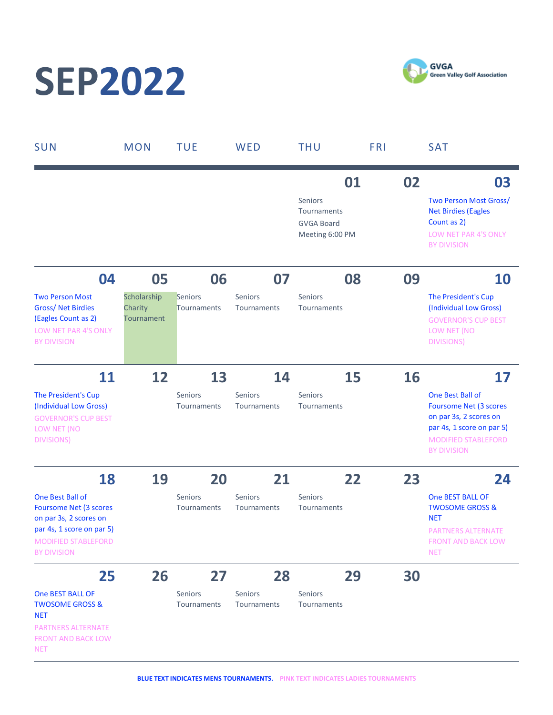### **SEP2022**



| <b>SUN</b>                                                                                                                                            | <b>MON</b>                                  | <b>TUE</b>                    | WED                           | <b>THU</b>                                                           | <b>FRI</b> | <b>SAT</b>                                                                                                                                            |
|-------------------------------------------------------------------------------------------------------------------------------------------------------|---------------------------------------------|-------------------------------|-------------------------------|----------------------------------------------------------------------|------------|-------------------------------------------------------------------------------------------------------------------------------------------------------|
|                                                                                                                                                       |                                             |                               |                               | 01<br>Seniors<br>Tournaments<br><b>GVGA Board</b><br>Meeting 6:00 PM | 02         | 03<br>Two Person Most Gross/<br><b>Net Birdies (Eagles</b><br>Count as 2)<br>LOW NET PAR 4'S ONLY<br><b>BY DIVISION</b>                               |
| 04                                                                                                                                                    | 05                                          | 06                            | 07                            | 08                                                                   | 09         | <b>10</b>                                                                                                                                             |
| <b>Two Person Most</b><br><b>Gross/Net Birdies</b><br>(Eagles Count as 2)<br>LOW NET PAR 4'S ONLY<br><b>BY DIVISION</b>                               | Scholarship<br>Charity<br><b>Tournament</b> | <b>Seniors</b><br>Tournaments | <b>Seniors</b><br>Tournaments | Seniors<br>Tournaments                                               |            | The President's Cup<br>(Individual Low Gross)<br><b>GOVERNOR'S CUP BEST</b><br>LOW NET (NO<br><b>DIVISIONS</b>                                        |
| <b>11</b>                                                                                                                                             | 12                                          | 13                            | 14                            | 15                                                                   | 16         | 17                                                                                                                                                    |
| The President's Cup<br>(Individual Low Gross)<br><b>GOVERNOR'S CUP BEST</b><br>LOW NET (NO<br><b>DIVISIONS</b>                                        |                                             | <b>Seniors</b><br>Tournaments | Seniors<br>Tournaments        | Seniors<br>Tournaments                                               |            | One Best Ball of<br>Foursome Net (3 scores<br>on par 3s, 2 scores on<br>par 4s, 1 score on par 5)<br><b>MODIFIED STABLEFORD</b><br><b>BY DIVISION</b> |
| 18                                                                                                                                                    | 19                                          | 20                            | 21                            | 22                                                                   | 23         | 24                                                                                                                                                    |
| One Best Ball of<br>Foursome Net (3 scores<br>on par 3s, 2 scores on<br>par 4s, 1 score on par 5)<br><b>MODIFIED STABLEFORD</b><br><b>BY DIVISION</b> |                                             | <b>Seniors</b><br>Tournaments | <b>Seniors</b><br>Tournaments | <b>Seniors</b><br>Tournaments                                        |            | <b>One BEST BALL OF</b><br><b>TWOSOME GROSS &amp;</b><br><b>NET</b><br><b>PARTNERS ALTERNATE</b><br><b>FRONT AND BACK LOW</b><br><b>NET</b>           |
| 25                                                                                                                                                    | 26                                          | 27                            | 28                            | 29                                                                   | 30         |                                                                                                                                                       |
| One BEST BALL OF<br><b>TWOSOME GROSS &amp;</b><br><b>NET</b><br><b>PARTNERS ALTERNATE</b><br><b>FRONT AND BACK LOW</b><br><b>NET</b>                  |                                             | Seniors<br>Tournaments        | Seniors<br>Tournaments        | Seniors<br>Tournaments                                               |            |                                                                                                                                                       |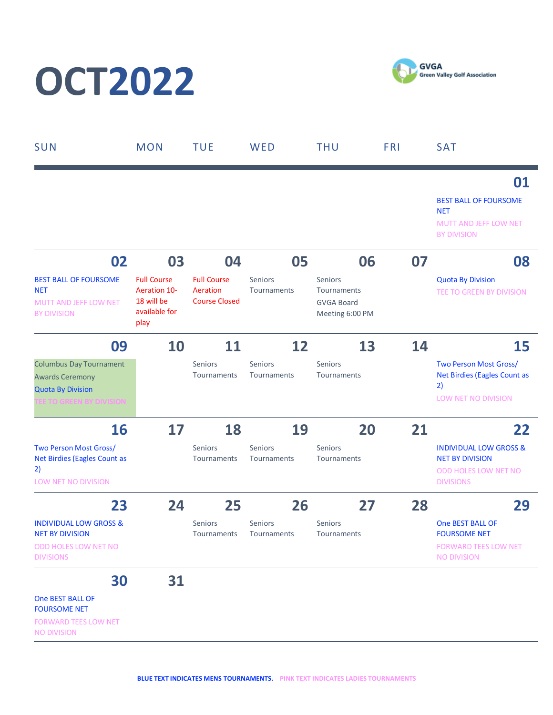# **OCT2022**

**GVGA Green Valley Golf Association** 

| <b>SUN</b>                                                                                                      | <b>MON</b>                                                                | <b>TUE</b>                                             | WED                           | <b>THU</b>                                                     | <b>FRI</b> | <b>SAT</b>                                                                                              |
|-----------------------------------------------------------------------------------------------------------------|---------------------------------------------------------------------------|--------------------------------------------------------|-------------------------------|----------------------------------------------------------------|------------|---------------------------------------------------------------------------------------------------------|
|                                                                                                                 |                                                                           |                                                        |                               |                                                                |            | 01<br><b>BEST BALL OF FOURSOME</b><br><b>NET</b><br>MUTT AND JEFF LOW NET<br><b>BY DIVISION</b>         |
| 02                                                                                                              | 03                                                                        | 04                                                     | 05                            | 06                                                             | 07         | 08                                                                                                      |
| <b>BEST BALL OF FOURSOME</b><br><b>NET</b><br><b>MUTT AND JEFF LOW NET</b><br><b>BY DIVISION</b>                | <b>Full Course</b><br>Aeration 10-<br>18 will be<br>available for<br>play | <b>Full Course</b><br>Aeration<br><b>Course Closed</b> | <b>Seniors</b><br>Tournaments | Seniors<br>Tournaments<br><b>GVGA Board</b><br>Meeting 6:00 PM |            | <b>Quota By Division</b><br>TEE TO GREEN BY DIVISION                                                    |
| 09                                                                                                              | 10                                                                        | 11                                                     | 12                            | 13                                                             | 14         | 15                                                                                                      |
| <b>Columbus Day Tournament</b><br><b>Awards Ceremony</b><br><b>Quota By Division</b><br>EE TO GREEN BY DIVISION |                                                                           | Seniors<br>Tournaments                                 | Seniors<br>Tournaments        | Seniors<br>Tournaments                                         |            | Two Person Most Gross/<br>Net Birdies (Eagles Count as<br>2)<br>LOW NET NO DIVISION                     |
| <b>16</b>                                                                                                       | 17                                                                        | 18                                                     | 19                            | 20                                                             | 21         | 22                                                                                                      |
| Two Person Most Gross/<br>Net Birdies (Eagles Count as<br>2)<br>LOW NET NO DIVISION                             |                                                                           | Seniors<br>Tournaments                                 | Seniors<br>Tournaments        | Seniors<br>Tournaments                                         |            | <b>INDIVIDUAL LOW GROSS &amp;</b><br><b>NET BY DIVISION</b><br>ODD HOLES LOW NET NO<br><b>DIVISIONS</b> |
| 23                                                                                                              | 24                                                                        | 25                                                     | 26                            | 27                                                             | 28         | 29                                                                                                      |
| <b>INDIVIDUAL LOW GROSS &amp;</b><br><b>NET BY DIVISION</b><br>ODD HOLES LOW NET NO<br><b>DIVISIONS</b>         |                                                                           | Seniors<br>Tournaments                                 | Seniors<br>Tournaments        | Seniors<br>Tournaments                                         |            | <b>One BEST BALL OF</b><br><b>FOURSOME NET</b><br><b>FORWARD TEES LOW NET</b><br><b>NO DIVISION</b>     |
| 30<br>One BEST BALL OF<br><b>FOURSOME NET</b><br><b>FORWARD TEES LOW NET</b><br><b>NO DIVISION</b>              | 31                                                                        |                                                        |                               |                                                                |            |                                                                                                         |